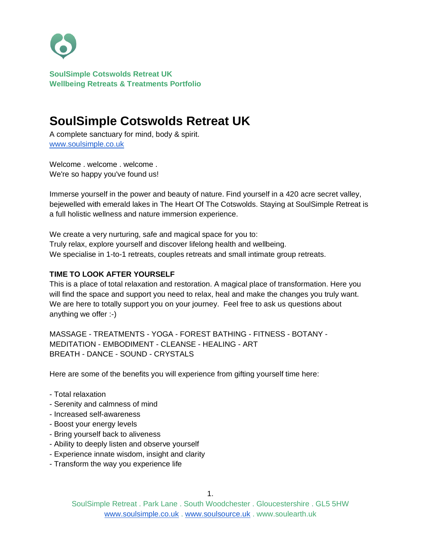

# **SoulSimple Cotswolds Retreat UK**

A complete sanctuary for mind, body & spirit. [www.soulsimple.co.uk](http://www.soulsimple.co.uk/)

Welcome . welcome . welcome . We're so happy you've found us!

Immerse yourself in the power and beauty of nature. Find yourself in a 420 acre secret valley, bejewelled with emerald lakes in The Heart Of The Cotswolds. Staying at SoulSimple Retreat is a full holistic wellness and nature immersion experience.

We create a very nurturing, safe and magical space for you to: Truly relax, explore yourself and discover lifelong health and wellbeing. We specialise in 1-to-1 retreats, couples retreats and small intimate group retreats.

## **TIME TO LOOK AFTER YOURSELF**

This is a place of total relaxation and restoration. A magical place of transformation. Here you will find the space and support you need to relax, heal and make the changes you truly want. We are here to totally support you on your journey. Feel free to ask us questions about anything we offer :-)

MASSAGE - TREATMENTS - YOGA - FOREST BATHING - FITNESS - BOTANY - MEDITATION - EMBODIMENT - CLEANSE - HEALING - ART BREATH - DANCE - SOUND - CRYSTALS

Here are some of the benefits you will experience from gifting yourself time here:

- Total relaxation
- Serenity and calmness of mind
- Increased self-awareness
- Boost your energy levels
- Bring yourself back to aliveness
- Ability to deeply listen and observe yourself
- Experience innate wisdom, insight and clarity
- Transform the way you experience life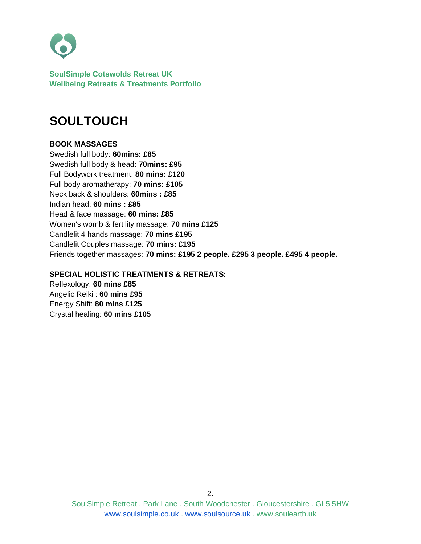

# **SOULTOUCH**

#### **BOOK MASSAGES**

Swedish full body: **60mins: £85** Swedish full body & head: **70mins: £95** Full Bodywork treatment: **80 mins: £120** Full body aromatherapy: **70 mins: £105** Neck back & shoulders: **60mins : £85** Indian head: **60 mins : £85** Head & face massage: **60 mins: £85** Women's womb & fertility massage: **70 mins £125** Candlelit 4 hands massage: **70 mins £195** Candlelit Couples massage: **70 mins: £195** Friends together massages: **70 mins: £195 2 people. £295 3 people. £495 4 people.**

#### **SPECIAL HOLISTIC TREATMENTS & RETREATS:**

Reflexology: **60 mins £85** Angelic Reiki : **60 mins £95** Energy Shift: **80 mins £125** Crystal healing: **60 mins £105**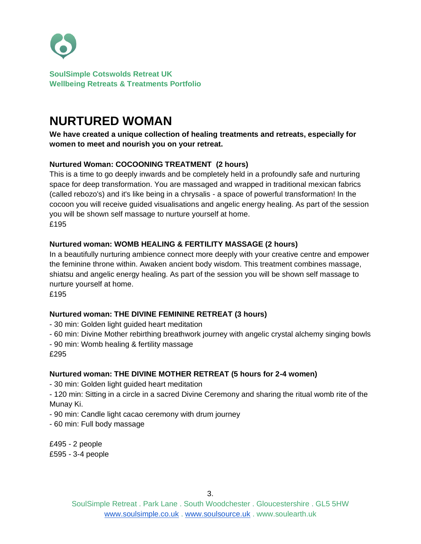

# **NURTURED WOMAN**

**We have created a unique collection of healing treatments and retreats, especially for women to meet and nourish you on your retreat.**

## **Nurtured Woman: COCOONING TREATMENT (2 hours)**

This is a time to go deeply inwards and be completely held in a profoundly safe and nurturing space for deep transformation. You are massaged and wrapped in traditional mexican fabrics (called rebozo's) and it's like being in a chrysalis - a space of powerful transformation! In the cocoon you will receive guided visualisations and angelic energy healing. As part of the session you will be shown self massage to nurture yourself at home. £195

## **Nurtured woman: WOMB HEALING & FERTILITY MASSAGE (2 hours)**

In a beautifully nurturing ambience connect more deeply with your creative centre and empower the feminine throne within. Awaken ancient body wisdom. This treatment combines massage, shiatsu and angelic energy healing. As part of the session you will be shown self massage to nurture yourself at home.

£195

## **Nurtured woman: THE DIVINE FEMININE RETREAT (3 hours)**

- 30 min: Golden light guided heart meditation

- 60 min: Divine Mother rebirthing breathwork journey with angelic crystal alchemy singing bowls
- 90 min: Womb healing & fertility massage

£295

## **Nurtured woman: THE DIVINE MOTHER RETREAT (5 hours for 2-4 women)**

- 30 min: Golden light guided heart meditation

- 120 min: Sitting in a circle in a sacred Divine Ceremony and sharing the ritual womb rite of the Munay Ki.

- 90 min: Candle light cacao ceremony with drum journey

- 60 min: Full body massage

£495 - 2 people £595 - 3-4 people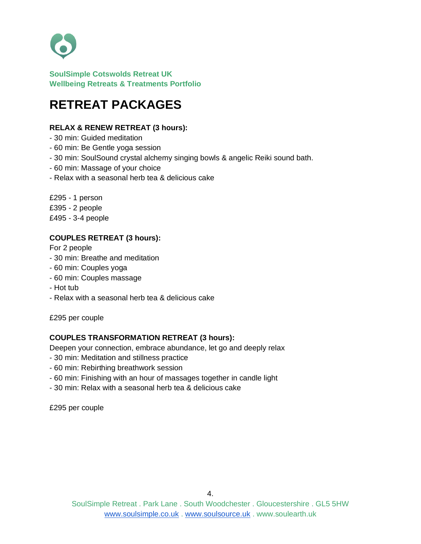

# **RETREAT PACKAGES**

## **RELAX & RENEW RETREAT (3 hours):**

- 30 min: Guided meditation
- 60 min: Be Gentle yoga session
- 30 min: SoulSound crystal alchemy singing bowls & angelic Reiki sound bath.
- 60 min: Massage of your choice
- Relax with a seasonal herb tea & delicious cake

£295 - 1 person £395 - 2 people £495 - 3-4 people

## **COUPLES RETREAT (3 hours):**

For 2 people

- 30 min: Breathe and meditation
- 60 min: Couples yoga
- 60 min: Couples massage
- Hot tub
- Relax with a seasonal herb tea & delicious cake

£295 per couple

#### **COUPLES TRANSFORMATION RETREAT (3 hours):**

Deepen your connection, embrace abundance, let go and deeply relax

- 30 min: Meditation and stillness practice
- 60 min: Rebirthing breathwork session
- 60 min: Finishing with an hour of massages together in candle light
- 30 min: Relax with a seasonal herb tea & delicious cake

£295 per couple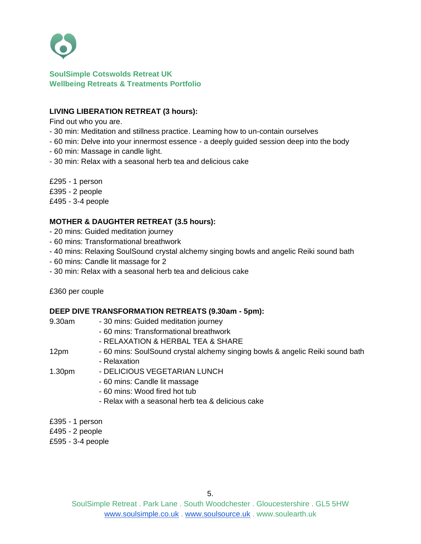

### **LIVING LIBERATION RETREAT (3 hours):**

Find out who you are.

- 30 min: Meditation and stillness practice. Learning how to un-contain ourselves
- 60 min: Delve into your innermost essence a deeply guided session deep into the body
- 60 min: Massage in candle light.
- 30 min: Relax with a seasonal herb tea and delicious cake

£295 - 1 person £395 - 2 people £495 - 3-4 people

### **MOTHER & DAUGHTER RETREAT (3.5 hours):**

- 20 mins: Guided meditation journey
- 60 mins: Transformational breathwork
- 40 mins: Relaxing SoulSound crystal alchemy singing bowls and angelic Reiki sound bath
- 60 mins: Candle lit massage for 2
- 30 min: Relax with a seasonal herb tea and delicious cake

£360 per couple

#### **DEEP DIVE TRANSFORMATION RETREATS (9.30am - 5pm):**

| 9.30am          | - 30 mins: Guided meditation journey                                          |
|-----------------|-------------------------------------------------------------------------------|
|                 | - 60 mins: Transformational breathwork                                        |
|                 | - RELAXATION & HERBAL TEA & SHARE                                             |
| 12pm            | - 60 mins: SoulSound crystal alchemy singing bowls & angelic Reiki sound bath |
|                 | - Relaxation                                                                  |
| 1.30pm          | - DELICIOUS VEGETARIAN LUNCH                                                  |
|                 | - 60 mins: Candle lit massage                                                 |
|                 | - 60 mins: Wood fired hot tub                                                 |
|                 | - Relax with a seasonal herb tea & delicious cake                             |
|                 |                                                                               |
| £395 - 1 person |                                                                               |

£495 - 2 people

£595 - 3-4 people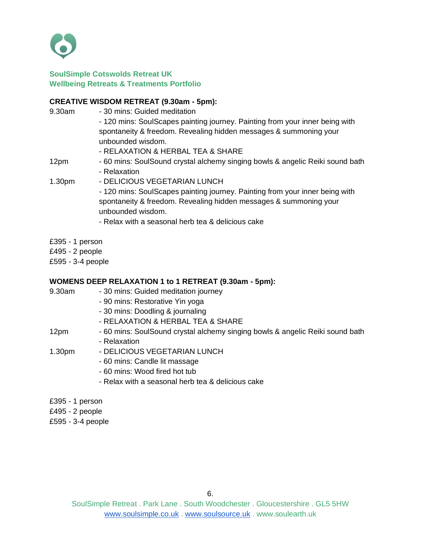

#### **CREATIVE WISDOM RETREAT (9.30am - 5pm):**

- 9.30am 30 mins: Guided meditation - 120 mins: SoulScapes painting journey. Painting from your inner being with spontaneity & freedom. Revealing hidden messages & summoning your unbounded wisdom. - RELAXATION & HERBAL TEA & SHARE 12pm - 60 mins: SoulSound crystal alchemy singing bowls & angelic Reiki sound bath - Relaxation 1.30pm - DELICIOUS VEGETARIAN LUNCH - 120 mins: SoulScapes painting journey. Painting from your inner being with spontaneity & freedom. Revealing hidden messages & summoning your unbounded wisdom. - Relax with a seasonal herb tea & delicious cake
- £395 1 person
- £495 2 people
- £595 3-4 people

## **WOMENS DEEP RELAXATION 1 to 1 RETREAT (9.30am - 5pm):**

- 9.30am 30 mins: Guided meditation journey
	- 90 mins: Restorative Yin yoga
	- 30 mins: Doodling & journaling
	- RELAXATION & HERBAL TEA & SHARE
- 12pm 60 mins: SoulSound crystal alchemy singing bowls & angelic Reiki sound bath
	- Relaxation
- 1.30pm DELICIOUS VEGETARIAN LUNCH
	- 60 mins: Candle lit massage
	- 60 mins: Wood fired hot tub
	- Relax with a seasonal herb tea & delicious cake
- £395 1 person
- £495 2 people
- £595 3-4 people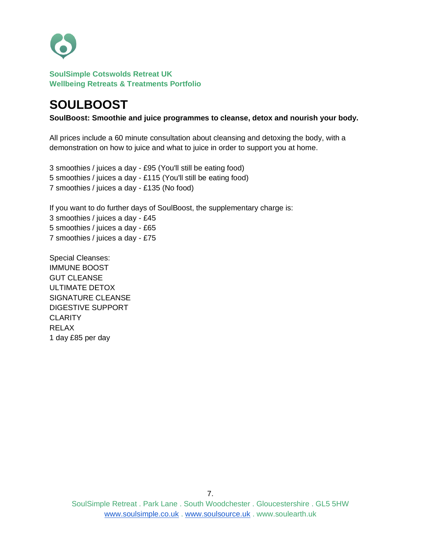

# **SOULBOOST**

**SoulBoost: Smoothie and juice programmes to cleanse, detox and nourish your body.**

All prices include a 60 minute consultation about cleansing and detoxing the body, with a demonstration on how to juice and what to juice in order to support you at home.

3 smoothies / juices a day - £95 (You'll still be eating food) 5 smoothies / juices a day - £115 (You'll still be eating food) 7 smoothies / juices a day - £135 (No food)

If you want to do further days of SoulBoost, the supplementary charge is: 3 smoothies / juices a day - £45 5 smoothies / juices a day - £65 7 smoothies / juices a day - £75

Special Cleanses: IMMUNE BOOST GUT CLEANSE ULTIMATE DETOX SIGNATURE CLEANSE DIGESTIVE SUPPORT **CLARITY** RELAX 1 day £85 per day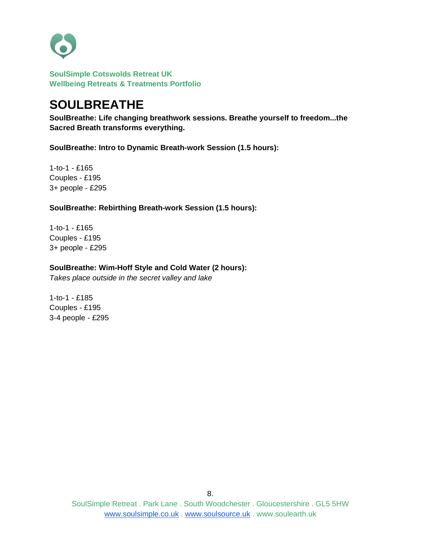

# **SOULBREATHE**

**SoulBreathe: Life changing breathwork sessions. Breathe yourself to freedom...the Sacred Breath transforms everything.**

**SoulBreathe: Intro to Dynamic Breath-work Session (1.5 hours):** 

1-to-1 - £165 Couples - £195 3+ people - £295

#### **SoulBreathe: Rebirthing Breath-work Session (1.5 hours):**

1-to-1 - £165 Couples - £195 3+ people - £295

#### **SoulBreathe: Wim-Hoff Style and Cold Water (2 hours):**

*Takes place outside in the secret valley and lake*

1-to-1 - £185 Couples - £195 3-4 people - £295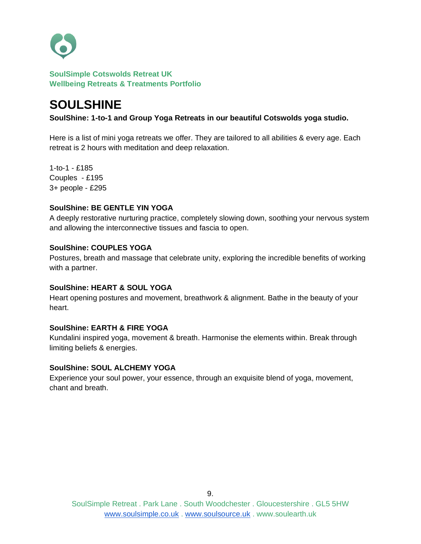

# **SOULSHINE**

**SoulShine: 1-to-1 and Group Yoga Retreats in our beautiful Cotswolds yoga studio.**

Here is a list of mini yoga retreats we offer. They are tailored to all abilities & every age. Each retreat is 2 hours with meditation and deep relaxation.

1-to-1 - £185 Couples - £195 3+ people - £295

#### **SoulShine: BE GENTLE YIN YOGA**

A deeply restorative nurturing practice, completely slowing down, soothing your nervous system and allowing the interconnective tissues and fascia to open.

#### **SoulShine: COUPLES YOGA**

Postures, breath and massage that celebrate unity, exploring the incredible benefits of working with a partner.

#### **SoulShine: HEART & SOUL YOGA**

Heart opening postures and movement, breathwork & alignment. Bathe in the beauty of your heart.

#### **SoulShine: EARTH & FIRE YOGA**

Kundalini inspired yoga, movement & breath. Harmonise the elements within. Break through limiting beliefs & energies.

#### **SoulShine: SOUL ALCHEMY YOGA**

Experience your soul power, your essence, through an exquisite blend of yoga, movement, chant and breath.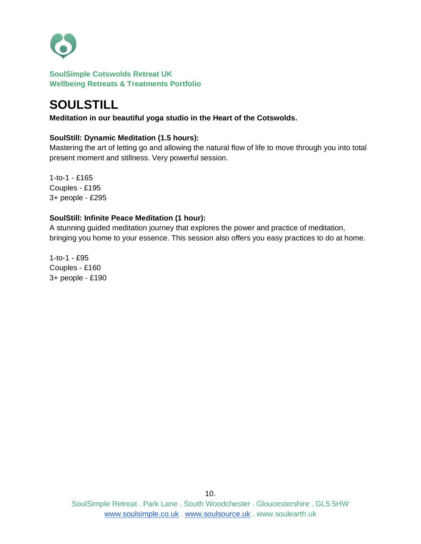

# **SOULSTILL**

**Meditation in our beautiful yoga studio in the Heart of the Cotswolds.**

### **SoulStill: Dynamic Meditation (1.5 hours):**

Mastering the art of letting go and allowing the natural flow of life to move through you into total present moment and stillness. Very powerful session.

1-to-1 - £165 Couples - £195 3+ people - £295

### **SoulStill: Infinite Peace Meditation (1 hour):**

A stunning guided meditation journey that explores the power and practice of meditation, bringing you home to your essence. This session also offers you easy practices to do at home.

1-to-1 - £95 Couples - £160 3+ people - £190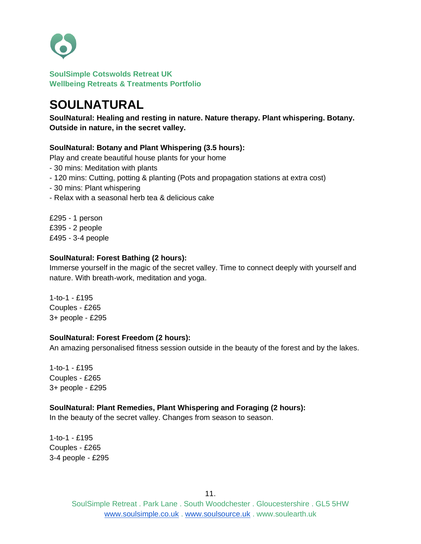

# **SOULNATURAL**

**SoulNatural: Healing and resting in nature. Nature therapy. Plant whispering. Botany. Outside in nature, in the secret valley.**

### **SoulNatural: Botany and Plant Whispering (3.5 hours):**

Play and create beautiful house plants for your home

- 30 mins: Meditation with plants
- 120 mins: Cutting, potting & planting (Pots and propagation stations at extra cost)
- 30 mins: Plant whispering
- Relax with a seasonal herb tea & delicious cake

£295 - 1 person £395 - 2 people £495 - 3-4 people

#### **SoulNatural: Forest Bathing (2 hours):**

Immerse yourself in the magic of the secret valley. Time to connect deeply with yourself and nature. With breath-work, meditation and yoga.

1-to-1 - £195 Couples - £265 3+ people - £295

#### **SoulNatural: Forest Freedom (2 hours):**

An amazing personalised fitness session outside in the beauty of the forest and by the lakes.

1-to-1 - £195 Couples - £265 3+ people - £295

## **SoulNatural: Plant Remedies, Plant Whispering and Foraging (2 hours):**

In the beauty of the secret valley. Changes from season to season.

1-to-1 - £195 Couples - £265 3-4 people - £295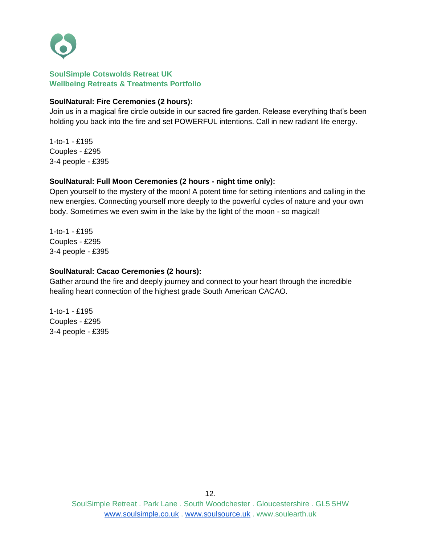

### **SoulNatural: Fire Ceremonies (2 hours):**

Join us in a magical fire circle outside in our sacred fire garden. Release everything that's been holding you back into the fire and set POWERFUL intentions. Call in new radiant life energy.

1-to-1 - £195 Couples - £295 3-4 people - £395

### **SoulNatural: Full Moon Ceremonies (2 hours - night time only):**

Open yourself to the mystery of the moon! A potent time for setting intentions and calling in the new energies. Connecting yourself more deeply to the powerful cycles of nature and your own body. Sometimes we even swim in the lake by the light of the moon - so magical!

1-to-1 - £195 Couples - £295 3-4 people - £395

### **SoulNatural: Cacao Ceremonies (2 hours):**

Gather around the fire and deeply journey and connect to your heart through the incredible healing heart connection of the highest grade South American CACAO.

1-to-1 - £195 Couples - £295 3-4 people - £395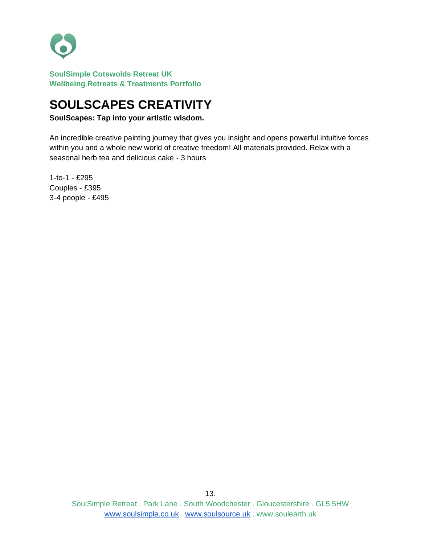

# **SOULSCAPES CREATIVITY**

**SoulScapes: Tap into your artistic wisdom.**

An incredible creative painting journey that gives you insight and opens powerful intuitive forces within you and a whole new world of creative freedom! All materials provided. Relax with a seasonal herb tea and delicious cake - 3 hours

1-to-1 - £295 Couples - £395 3-4 people - £495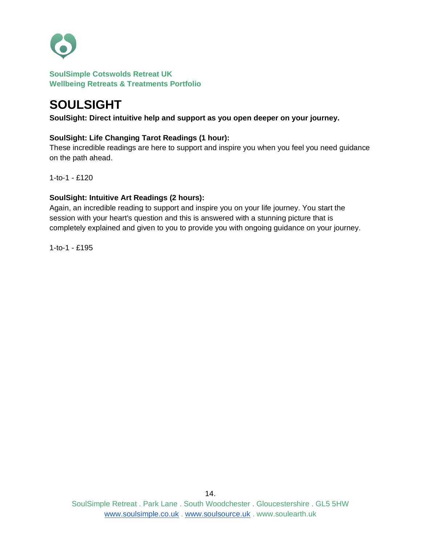

# **SOULSIGHT**

**SoulSight: Direct intuitive help and support as you open deeper on your journey.** 

## **SoulSight: Life Changing Tarot Readings (1 hour):**

These incredible readings are here to support and inspire you when you feel you need guidance on the path ahead.

1-to-1 - £120

## **SoulSight: Intuitive Art Readings (2 hours):**

Again, an incredible reading to support and inspire you on your life journey. You start the session with your heart's question and this is answered with a stunning picture that is completely explained and given to you to provide you with ongoing guidance on your journey.

1-to-1 - £195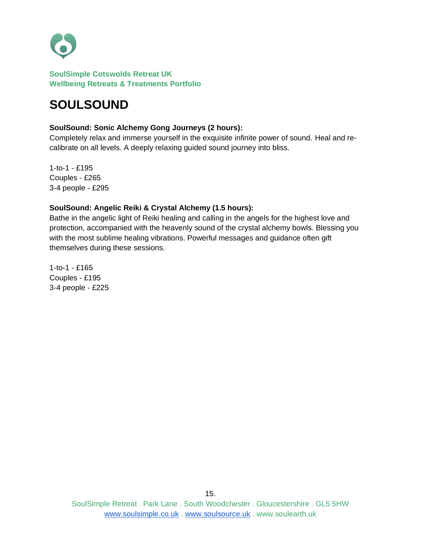

# **SOULSOUND**

#### **SoulSound: Sonic Alchemy Gong Journeys (2 hours):**

Completely relax and immerse yourself in the exquisite infinite power of sound. Heal and recalibrate on all levels. A deeply relaxing guided sound journey into bliss.

1-to-1 - £195 Couples - £265 3-4 people - £295

### **SoulSound: Angelic Reiki & Crystal Alchemy (1.5 hours):**

Bathe in the angelic light of Reiki healing and calling in the angels for the highest love and protection, accompanied with the heavenly sound of the crystal alchemy bowls. Blessing you with the most sublime healing vibrations. Powerful messages and guidance often gift themselves during these sessions.

1-to-1 - £165 Couples - £195 3-4 people - £225